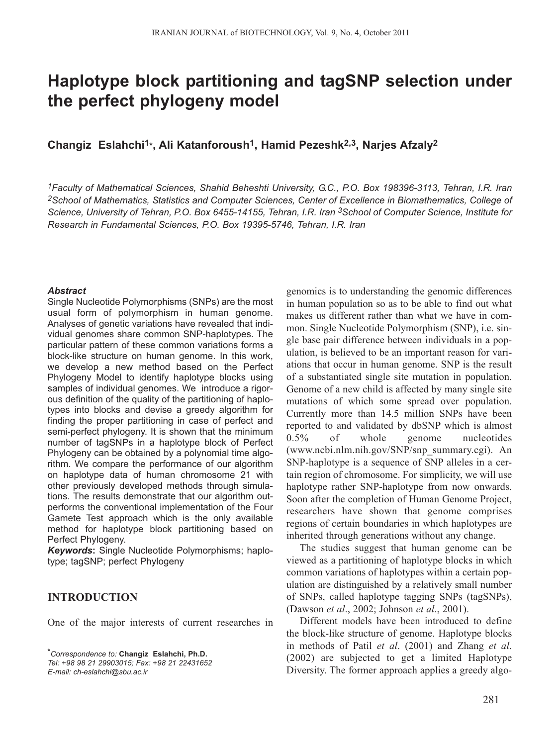# **Haplotype block partitioning and tagSNP selection under the perfect phylogeny model**

## **Changiz Eslahchi1\*, Ali Katanforoush1, Hamid Pezeshk2,3, Narjes Afzaly2**

*1Faculty of Mathematical Sciences, Shahid Beheshti University, G.C., P.O. Box 198396-3113, Tehran, I.R. Iran 2School of Mathematics, Statistics and Computer Sciences, Center of Excellence in Biomathematics, College of Science, University of Tehran, P.O. Box 6455-14155, Tehran, I.R. Iran 3School of Computer Science, Institute for Research in Fundamental Sciences, P.O. Box 19395-5746, Tehran, I.R. Iran*

#### *Abstract*

Single Nucleotide Polymorphisms (SNPs) are the most usual form of polymorphism in human genome. Analyses of genetic variations have revealed that individual genomes share common SNP-haplotypes. The particular pattern of these common variations forms a block-like structure on human genome. In this work, we develop a new method based on the Perfect Phylogeny Model to identify haplotype blocks using samples of individual genomes. We introduce a rigorous definition of the quality of the partitioning of haplotypes into blocks and devise a greedy algorithm for finding the proper partitioning in case of perfect and semi-perfect phylogeny. It is shown that the minimum number of tagSNPs in a haplotype block of Perfect Phylogeny can be obtained by a polynomial time algorithm. We compare the performance of our algorithm on haplotype data of human chromosome 21 with other previously developed methods through simulations. The results demonstrate that our algorithm outperforms the conventional implementation of the Four Gamete Test approach which is the only available method for haplotype block partitioning based on Perfect Phylogeny.

*Keywords***:** Single Nucleotide Polymorphisms; haplotype; tagSNP; perfect Phylogeny

## **INTRODUCTION**

One of the major interests of current researches in

*\*Correspondence to:* **Changiz Eslahchi, Ph.D.** *Tel: +98 98 21 29903015; Fax: +98 21 22431652 E-mail: ch-eslahchi@sbu.ac.ir*

genomics is to understanding the genomic differences in human population so as to be able to find out what makes us different rather than what we have in common. Single Nucleotide Polymorphism (SNP), i.e. single base pair difference between individuals in a population, is believed to be an important reason for variations that occur in human genome. SNP is the result of a substantiated single site mutation in population. Genome of a new child is affected by many single site mutations of which some spread over population. Currently more than 14.5 million SNPs have been reported to and validated by dbSNP which is almost 0.5% of whole genome nucleotides (www.ncbi.nlm.nih.gov/SNP/snp\_summary.cgi). An SNP-haplotype is a sequence of SNP alleles in a certain region of chromosome. For simplicity, we will use haplotype rather SNP-haplotype from now onwards. Soon after the completion of Human Genome Project, researchers have shown that genome comprises regions of certain boundaries in which haplotypes are inherited through generations without any change.

The studies suggest that human genome can be viewed as a partitioning of haplotype blocks in which common variations of haplotypes within a certain population are distinguished by a relatively small number of SNPs, called haplotype tagging SNPs (tagSNPs), (Dawson *et al*., 2002; Johnson *et al*., 2001).

Different models have been introduced to define the block-like structure of genome. Haplotype blocks in methods of Patil *et al*. (2001) and Zhang *et al*. (2002) are subjected to get a limited Haplotype Diversity. The former approach applies a greedy algo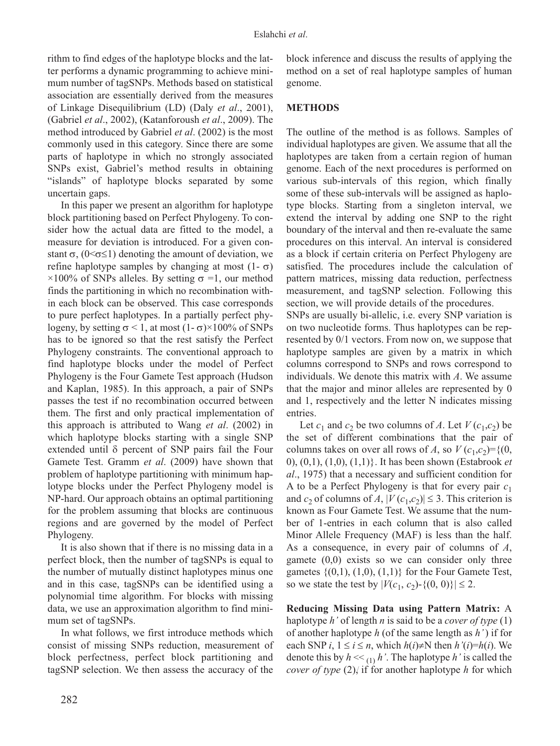rithm to find edges of the haplotype blocks and the latter performs a dynamic programming to achieve minimum number of tagSNPs. Methods based on statistical association are essentially derived from the measures of Linkage Disequilibrium (LD) (Daly *et al*., 2001), (Gabriel *et al*., 2002), (Katanforoush *et al*., 2009). The method introduced by Gabriel *et al*. (2002) is the most commonly used in this category. Since there are some parts of haplotype in which no strongly associated SNPs exist, Gabriel's method results in obtaining "islands" of haplotype blocks separated by some uncertain gaps.

In this paper we present an algorithm for haplotype block partitioning based on Perfect Phylogeny. To consider how the actual data are fitted to the model, a measure for deviation is introduced. For a given constant  $\sigma$ , (0 < $\sigma \leq 1$ ) denoting the amount of deviation, we refine haplotype samples by changing at most  $(1 - σ)$  $\times$ 100% of SNPs alleles. By setting  $\sigma$  =1, our method finds the partitioning in which no recombination within each block can be observed. This case corresponds to pure perfect haplotypes. In a partially perfect phylogeny, by setting  $\sigma$  < 1, at most  $(1-\sigma)$ ×100% of SNPs has to be ignored so that the rest satisfy the Perfect Phylogeny constraints. The conventional approach to find haplotype blocks under the model of Perfect Phylogeny is the Four Gamete Test approach (Hudson and Kaplan, 1985). In this approach, a pair of SNPs passes the test if no recombination occurred between them. The first and only practical implementation of this approach is attributed to Wang *et al*. (2002) in which haplotype blocks starting with a single SNP extended until δ percent of SNP pairs fail the Four Gamete Test. Gramm *et al*. (2009) have shown that problem of haplotype partitioning with minimum haplotype blocks under the Perfect Phylogeny model is NP-hard. Our approach obtains an optimal partitioning for the problem assuming that blocks are continuous regions and are governed by the model of Perfect Phylogeny.

It is also shown that if there is no missing data in a perfect block, then the number of tagSNPs is equal to the number of mutually distinct haplotypes minus one and in this case, tagSNPs can be identified using a polynomial time algorithm. For blocks with missing data, we use an approximation algorithm to find minimum set of tagSNPs.

In what follows, we first introduce methods which consist of missing SNPs reduction, measurement of block perfectness, perfect block partitioning and tagSNP selection. We then assess the accuracy of the

block inference and discuss the results of applying the method on a set of real haplotype samples of human genome.

# **METHODS**

The outline of the method is as follows. Samples of individual haplotypes are given. We assume that all the haplotypes are taken from a certain region of human genome. Each of the next procedures is performed on various sub-intervals of this region, which finally some of these sub-intervals will be assigned as haplotype blocks. Starting from a singleton interval, we extend the interval by adding one SNP to the right boundary of the interval and then re-evaluate the same procedures on this interval. An interval is considered as a block if certain criteria on Perfect Phylogeny are satisfied. The procedures include the calculation of pattern matrices, missing data reduction, perfectness measurement, and tagSNP selection. Following this section, we will provide details of the procedures.

SNPs are usually bi-allelic, i.e. every SNP variation is on two nucleotide forms. Thus haplotypes can be represented by 0/1 vectors. From now on, we suppose that haplotype samples are given by a matrix in which columns correspond to SNPs and rows correspond to individuals. We denote this matrix with *A*. We assume that the major and minor alleles are represented by 0 and 1, respectively and the letter N indicates missing entries.

Let  $c_1$  and  $c_2$  be two columns of *A*. Let  $V(c_1, c_2)$  be the set of different combinations that the pair of columns takes on over all rows of *A*, so  $V(c_1, c_2) = \{(0,$ 0), (0,1), (1,0), (1,1)}. It has been shown (Estabrook *et al*., 1975) that a necessary and sufficient condition for A to be a Perfect Phylogeny is that for every pair *c*<sup>1</sup> and  $c_2$  of columns of *A*,  $|V(c_1, c_2)| \leq 3$ . This criterion is known as Four Gamete Test. We assume that the number of 1-entries in each column that is also called Minor Allele Frequency (MAF) is less than the half. As a consequence, in every pair of columns of *A*, gamete  $(0,0)$  exists so we can consider only three gametes  $\{(0,1), (1,0), (1,1)\}\)$  for the Four Gamete Test, so we state the test by  $|V(c_1, c_2) - \{(0, 0)\}| \leq 2$ .

**Reducing Missing Data using Pattern Matrix:** A haplotype *h'* of length *n* is said to be a *cover of type* (1) of another haplotype *h* (of the same length as *h'*) if for each SNP *i*,  $1 \le i \le n$ , which  $h(i) \ne N$  then  $h'(i) = h(i)$ . We denote this by  $h \ll \{1\}$ . The haplotype *h*' is called the *cover of type* (2), if for another haplotype *h* for which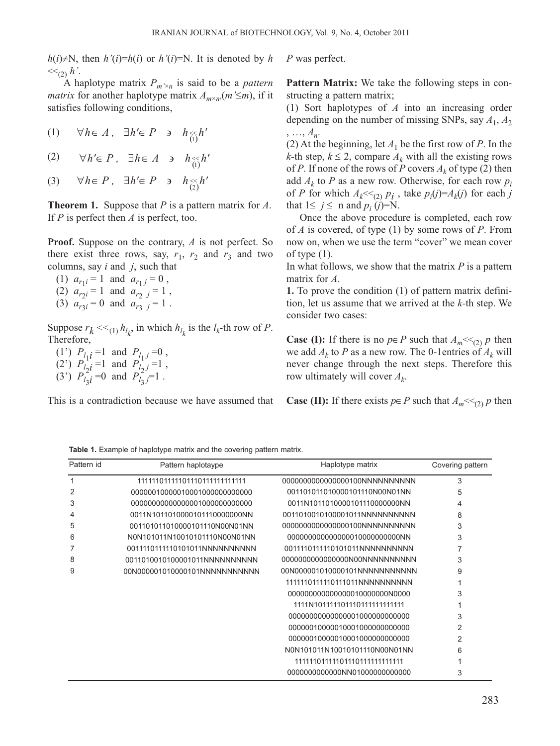*h*(*i*)≠N, then *h'*(*i*)=*h*(*i*) or *h'*(*i*)=N. It is denoted by *h*  $<<_{(2)} h'.$ 

A haplotype matrix  $P_{m' \times n}$  is said to be a *pattern matrix* for another haplotype matrix  $A_{m \times n}$ ,  $(m \leq m)$ , if it satisfies following conditions,

(1) ( ) <sup>∀</sup>*h*<sup>∈</sup> *<sup>A</sup> ,* <sup>∃</sup>*h'*<sup>∈</sup> *<sup>P</sup>* <sup>∋</sup> *<sup>h</sup>* << *h'* 1

(2) ( ) <sup>∀</sup>*h'*<sup>∈</sup> *<sup>P</sup> ,* <sup>∃</sup>*h*<sup>∈</sup> *<sup>A</sup>* <sup>∋</sup> *<sup>h</sup>* << *h'* 1

(3)  $\forall h \in P$ , ∃*h'*∈ *P* ∍ *h*<sub>(2)</sub>*h'* 

**Theorem 1.** Suppose that *P* is a pattern matrix for *A*. If *P* is perfect then *A* is perfect, too.

**Proof.** Suppose on the contrary, *A* is not perfect. So there exist three rows, say,  $r_1$ ,  $r_2$  and  $r_3$  and two columns, say *i* and *j*, such that

(1)  $a_{r1} = 1$  and  $a_{r1} = 0$ , (2)  $a_{r2i} = 1$  and  $a_{r2j} = 1$ , (3)  $a_{r3i} = 0$  and  $a_{r3i} = 1$ .

Suppose  $r_k \ll \frac{1}{(1)} h_{l_k}$ , in which  $h_{l_k}$  is the  $l_k$ -th row of *P*. Therefore,

(1')  $P_{l_1}i = 1$  and  $P_{l_1}i = 0$ , (2)  $P_{l_2}^1 = 1$  and  $P_{l_2}^1 = 1$ , (3<sup>'</sup>)  $P_{l_3}^2 i = 0$  and  $P_{l_3}^2 j = 1$ .

This is a contradiction because we have assumed that

*P* was perfect.

**Pattern Matrix:** We take the following steps in constructing a pattern matrix;

(1) Sort haplotypes of *A* into an increasing order depending on the number of missing SNPs, say  $A_1$ ,  $A_2$ , …, *An*.

(2) At the beginning, let  $A_1$  be the first row of *P*. In the *k*-th step,  $k \leq 2$ , compare  $A_k$  with all the existing rows of *P*. If none of the rows of *P* covers  $A_k$  of type (2) then add  $A_k$  to *P* as a new row. Otherwise, for each row  $p_i$ of *P* for which  $A_k \ll (2)$   $p_i$ , take  $p_i(j)=A_k(j)$  for each *j* that  $1 \le j \le n$  and  $p_i(j)=N$ .

Once the above procedure is completed, each row of *A* is covered, of type (1) by some rows of *P*. From now on, when we use the term "cover" we mean cover of type  $(1)$ .

In what follows, we show that the matrix *P* is a pattern matrix for *A*.

**1.** To prove the condition (1) of pattern matrix definition, let us assume that we arrived at the *k-*th step. We consider two cases:

**Case (I):** If there is no  $p \in P$  such that  $A_m \ll_{(2)} p$  then we add  $A_k$  to P as a new row. The 0-1 entries of  $A_k$  will never change through the next steps. Therefore this row ultimately will cover  $A_k$ .

**Case (II):** If there exists  $p \in P$  such that  $A_m \ll_{(2)} p$  then

| Pattern id | Pattern haplotaype             | Haplotype matrix                 | Covering pattern |  |
|------------|--------------------------------|----------------------------------|------------------|--|
|            | 11111101111011101111111111111  |                                  | 3                |  |
| 2          | 000000100000100010000000000000 | 001101011010000101110N00N01NN    | 5                |  |
| 3          | 00000000000000001000000000000  | 0011N1011010000101110000000NN    | 4                |  |
| 4          | 0011N10110100001011100000000NN | 0011010010100001011NNNNNNNNNN    | 8                |  |
| 5          | 001101011010000101110N00N01NN  | 00000000000000000100NNNNNNNNNNN  | 3                |  |
| 6          | N0N101011N10010101110N00N01NN  | 000000000000000001000000000000NN | 3                |  |
|            | 0011110111110101011NNNNNNNNNN  | 0011110111110101011NNNNNNNNNN    |                  |  |
| 8          | 0011010010100001011NNNNNNNNNN  |                                  | 3                |  |
| 9          | 00N000001010000101NNNNNNNNNNNN | 00N000001010000101NNNNNNNNNNN    | 9                |  |
|            |                                | 1111110111110111011NNNNNNNNNN    |                  |  |
|            |                                | 0000000000000000010000000000000  | 3                |  |
|            |                                | 1111N1011111011101111111111111   |                  |  |
|            |                                | 00000000000000001000000000000    | 3                |  |
|            |                                | 00000010000010001000000000000    | 2                |  |
|            |                                | 00000010000010001000000000000    | $\overline{2}$   |  |
|            |                                | N0N101011N10010101110N00N01NN    | 6                |  |
|            |                                | 11111101111101110111111111111    |                  |  |
|            |                                | 0000000000000NN01000000000000    | 3                |  |

**Table 1.** Example of haplotype matrix and the covering pattern matrix.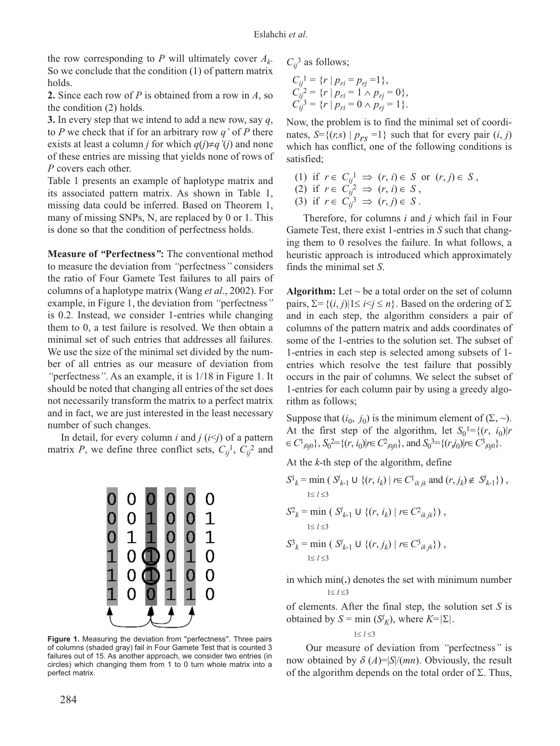the row corresponding to *P* will ultimately cover  $A_k$ . So we conclude that the condition (1) of pattern matrix holds.

**2.** Since each row of *P* is obtained from a row in *A*, so the condition (2) holds.

**3.** In every step that we intend to add a new row, say *q*, to *P* we check that if for an arbitrary row *q'* of *P* there exists at least a column *j* for which  $q(j) \neq q'(j)$  and none of these entries are missing that yields none of rows of *P* covers each other.

Table 1 presents an example of haplotype matrix and its associated pattern matrix. As shown in Table 1, missing data could be inferred. Based on Theorem 1, many of missing SNPs, N, are replaced by 0 or 1. This is done so that the condition of perfectness holds.

**Measure of** *"***Perfectness***"***:** The conventional method to measure the deviation from *"*perfectness*"* considers the ratio of Four Gamete Test failures to all pairs of columns of a haplotype matrix (Wang *et al*., 2002). For example, in Figure 1, the deviation from *"*perfectness*"* is 0.2*.* Instead, we consider 1-entries while changing them to 0, a test failure is resolved. We then obtain a minimal set of such entries that addresses all failures. We use the size of the minimal set divided by the number of all entries as our measure of deviation from *"*perfectness*"*. As an example, it is 1/18 in Figure 1. It should be noted that changing all entries of the set does not necessarily transform the matrix to a perfect matrix and in fact, we are just interested in the least necessary number of such changes.

In detail, for every column *i* and  $j$  ( $i \leq j$ ) of a pattern matrix *P*, we define three conflict sets,  $C_{ij}$ <sup>1</sup>,  $C_{ij}$ <sup>2</sup> and



Figure 1. Measuring the deviation from "perfectness". Three pairs of columns (shaded gray) fail in Four Gamete Test that is counted 3 failures out of 15. As another approach, we consider two entries (in circles) which changing them from 1 to 0 turn whole matrix into a perfect matrix.

 $C_{ij}^3$  as follows;

$$
C_{ij}^{1} = \{r \mid p_{ri} = p_{rj} = 1\},
$$
  
\n
$$
C_{ij}^{2} = \{r \mid p_{ri} = 1 \land p_{rj} = 0\},
$$
  
\n
$$
C_{ij}^{3} = \{r \mid p_{ri} = 0 \land p_{rj} = 1\}.
$$

Now, the problem is to find the minimal set of coordinates,  $S = \{(r,s) | p_{rs} = 1\}$  such that for every pair  $(i, j)$ which has conflict, one of the following conditions is satisfied;

(1) if 
$$
r \in C_{ij}^1 \Rightarrow (r, i) \in S
$$
 or  $(r, j) \in S$ ,  
\n(2) if  $r \in C_{ij}^2 \Rightarrow (r, i) \in S$ ,  
\n(3) if  $r \in C_{ij}^3 \Rightarrow (r, j) \in S$ .

Therefore, for columns *i* and *j* which fail in Four Gamete Test, there exist 1-entries in *S* such that changing them to 0 resolves the failure. In what follows, a heuristic approach is introduced which approximately finds the minimal set *S*.

**Algorithm:** Let  $\sim$  be a total order on the set of column pairs,  $\Sigma = \{(i, j) | 1 \le i \le j \le n\}$ . Based on the ordering of  $\Sigma$ and in each step, the algorithm considers a pair of columns of the pattern matrix and adds coordinates of some of the 1-entries to the solution set. The subset of 1-entries in each step is selected among subsets of 1 entries which resolve the test failure that possibly occurs in the pair of columns. We select the subset of 1-entries for each column pair by using a greedy algorithm as follows;

Suppose that  $(i_0, j_0)$  is the minimum element of  $(\Sigma, \sim)$ . At the first step of the algorithm, let  $S_0^1 = \{(r, i_0) | r \}$  $\in C^1_{i0j0}$ ,  $S_0^2 = \{(r, i_0) | r \in C^2_{i0j0}\}$ , and  $S_0^3 = \{(r, j_0) | r \in C^3_{i0j0}\}$ .

At the *k*-th step of the algorithm, define

$$
S^{1}_{k} = \min ( S^{l}_{k-1} \cup \{ (r, i_{k}) \mid r \in C^{1}_{ikjk} \text{ and } (r, j_{k}) \notin S^{l}_{k-1} \}),
$$
  
\n
$$
S^{2}_{k} = \min ( S^{l}_{k-1} \cup \{ (r, i_{k}) \mid r \in C^{2}_{ikjk} \}),
$$
  
\n
$$
S^{2}_{k} = \min ( S^{l}_{k-1} \cup \{ (r, j_{k}) \mid r \in C^{3}_{ikjk} \}),
$$
  
\n
$$
S^{2}_{k} = \min ( S^{l}_{k-1} \cup \{ (r, j_{k}) \mid r \in C^{3}_{ikjk} \}),
$$

in which min(**.**) denotes the set with minimum number 1≤ *l* ≤3

of elements. After the final step, the solution set *S* is obtained by *S* = min (*S<sup>I</sup><sub>K</sub>*), where *K*= $|\Sigma|$ .

$$
1{\leq}~l{\,\leq}3
$$

Our measure of deviation from *"*perfectness*"* is now obtained by  $\delta(A)=|S|/(mn)$ . Obviously, the result of the algorithm depends on the total order of  $\Sigma$ . Thus,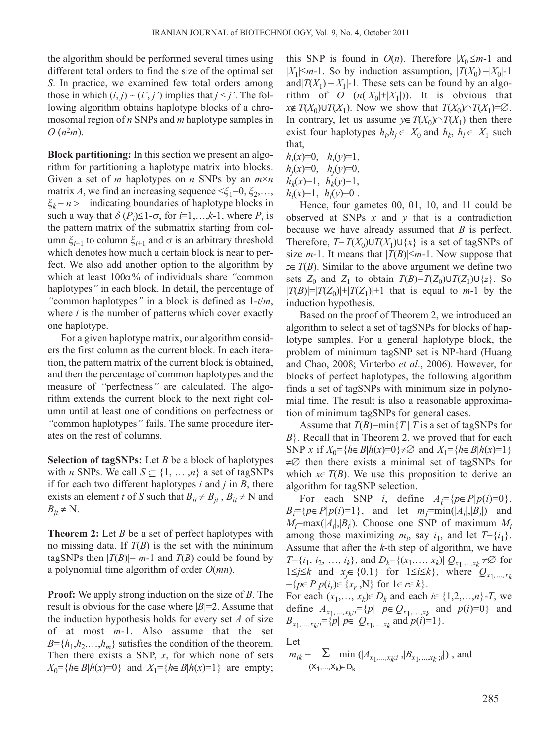the algorithm should be performed several times using different total orders to find the size of the optimal set *S*. In practice, we examined few total orders among those in which  $(i, j) \sim (i', j')$  implies that  $j \leq j'$ . The following algorithm obtains haplotype blocks of a chromosomal region of *n* SNPs and *m* haplotype samples in *O* (*n*2*m*).

**Block partitioning:** In this section we present an algorithm for partitioning a haplotype matrix into blocks. Given a set of *m* haplotypes on *n* SNPs by an *m*×*n* matrix *A*, we find an increasing sequence  $\leq \xi_1 = 0, \xi_2, \ldots$ , <sup>ξ</sup>*k* = *n* > indicating boundaries of haplotype blocks in such a way that  $\delta(P_i) \leq 1-\sigma$ , for *i*=1,...,*k*-1, where  $P_i$  is the pattern matrix of the submatrix starting from column  $\xi_{i+1}$  to column  $\xi_{i+1}$  and *σ* is an arbitrary threshold which denotes how much a certain block is near to perfect. We also add another option to the algorithm by which at least 100α% of individuals share *"*common haplotypes*"* in each block. In detail, the percentage of *"*common haplotypes*"* in a block is defined as 1-*t*/*m*, where *t* is the number of patterns which cover exactly one haplotype.

For a given haplotype matrix, our algorithm considers the first column as the current block. In each iteration, the pattern matrix of the current block is obtained, and then the percentage of common haplotypes and the measure of *"*perfectness*"* are calculated. The algorithm extends the current block to the next right column until at least one of conditions on perfectness or *"*common haplotypes*"* fails. The same procedure iterates on the rest of columns.

**Selection of tagSNPs:** Let *B* be a block of haplotypes with *n* SNPs. We call  $S \subseteq \{1, ..., n\}$  a set of tagSNPs if for each two different haplotypes *i* and *j* in *B*, there exists an element *t* of *S* such that  $B_{it} \neq B_{it}$ ,  $B_{it} \neq N$  and  $B_{it} \neq N$ .

**Theorem 2:** Let *B* be a set of perfect haplotypes with no missing data. If  $T(B)$  is the set with the minimum tagSNPs then  $|T(B)| = m-1$  and  $T(B)$  could be found by a polynomial time algorithm of order *O*(*mn*).

**Proof:** We apply strong induction on the size of *B*. The result is obvious for the case where  $|B|=2$ . Assume that the induction hypothesis holds for every set *A* of size of at most *m*-1. Also assume that the set  $B = \{h_1, h_2, \ldots, h_m\}$  satisfies the condition of the theorem. Then there exists a SNP, *x*, for which none of sets *X*<sup>0</sup>={*h*∈*B*|*h*(*x*)=0} and *X*<sup>1</sup>={*h*∈*B*|*h*(*x*)=1} are empty;

this SNP is found in  $O(n)$ . Therefore  $|X_0| \leq m-1$  and  $|X_1| \leq m-1$ . So by induction assumption,  $|T(X_0)|=|X_0|-1$ and $|T(X_1)|=|X_1|-1$ . These sets can be found by an algorithm of *O*  $(n(|X_0|+|X_1|))$ . It is obvious that *x*∉ *T*(*X*<sub>0</sub>)∪*T*(*X*<sub>1</sub>). Now we show that *T*(*X*<sub>0</sub>)∩*T*(*X*<sub>1</sub>)=∅. In contrary, let us assume  $y \in T(X_0) \cap T(X_1)$  then there exist four haplotypes  $h_i, h_j \in X_0$  and  $h_k, h_l \in X_1$  such that,

$$
h_i(x)=0, \quad h_i(y)=1, \nh_j(x)=0, \quad h_j(y)=0, \nh_k(x)=1, \quad h_k(y)=1, \nh_l(x)=1, \quad h_l(y)=0.
$$

Hence, four gametes 00, 01, 10, and 11 could be observed at SNPs *x* and *y* that is a contradiction because we have already assumed that *B* is perfect. Therefore,  $T=T(X_0)U T(X_1)U\{x\}$  is a set of tagSNPs of size  $m-1$ . It means that  $|T(B)| \leq m-1$ . Now suppose that *z*∈*T*(*B*). Similar to the above argument we define two sets  $Z_0$  and  $Z_1$  to obtain  $T(B)=T(Z_0)\cup T(Z_1)\cup \{z\}$ . So  $|T(B)|=|T(Z_0)|+|T(Z_1)|+1$  that is equal to *m*-1 by the induction hypothesis.

Based on the proof of Theorem 2, we introduced an algorithm to select a set of tagSNPs for blocks of haplotype samples. For a general haplotype block, the problem of minimum tagSNP set is NP-hard (Huang and Chao, 2008; Vinterbo *et al*., 2006). However, for blocks of perfect haplotypes, the following algorithm finds a set of tagSNPs with minimum size in polynomial time. The result is also a reasonable approximation of minimum tagSNPs for general cases.

Assume that  $T(B)$ =min{ $T$  | *T* is a set of tagSNPs for *B*}. Recall that in Theorem 2, we proved that for each SNP *x* if  $X_0 = \{h \in B | h(x) = 0\} \neq \emptyset$  and  $X_1 = \{h \in B | h(x) = 1\}$  $\neq \emptyset$  then there exists a minimal set of tagSNPs for which  $x \in T(B)$ . We use this proposition to derive an algorithm for tagSNP selection.

For each SNP *i*, define  $A_i = {p \in P | p(i) = 0}$ ,  $B_i = \{p \in P | p(i) = 1\}$ , and let  $m_i = \min(|A_i|, |B_i|)$  and  $M_i = \max(|A_i|, |B_i|)$ . Choose one SNP of maximum  $M_i$ among those maximizing  $m_i$ , say  $i_1$ , and let  $T = \{i_1\}$ . Assume that after the *k-*th step of algorithm, we have *T*={*i*<sub>1</sub>, *i*<sub>2</sub>, …, *i*<sub>*k*</sub>}, and *D<sub>k</sub>*={(*x*<sub>1</sub>,…, *x<sub>k</sub>*)|  $Q_{x_1,...,x_k}$  ≠∅ for 1≤*j*≤*k* and *x<sub>j</sub>*∈ {0,1} for 1≤*i*≤*k*}, where  $Q_{x_1,...,x_k}$  $=$ { $p \in P | p(i_r) \in \{x_r, N\}$  for  $1 \in r \in k$  }.

For each  $(x_1, \ldots, x_k) \in D_k$  and each  $i \in \{1, 2, \ldots, n\}$ -*T*, we define  $A_{x_1,...,x_k}$ ;  $f = \{p | p \in Q_{x_1,...,x_k} \text{ and } p(i)=0\}$  and  $B_{x_1,...,x_k} = \{p | p \in Q_{x_1,...,x_k} \text{ and } p(i)=1\}.$ 

Let

$$
m_{ik} = \sum_{\substack{(X_1,...,X_k) \in D_k}} \min(|A_{x_1,...,x_k;i}|, |B_{x_1,...,x_k;i}|)
$$
, and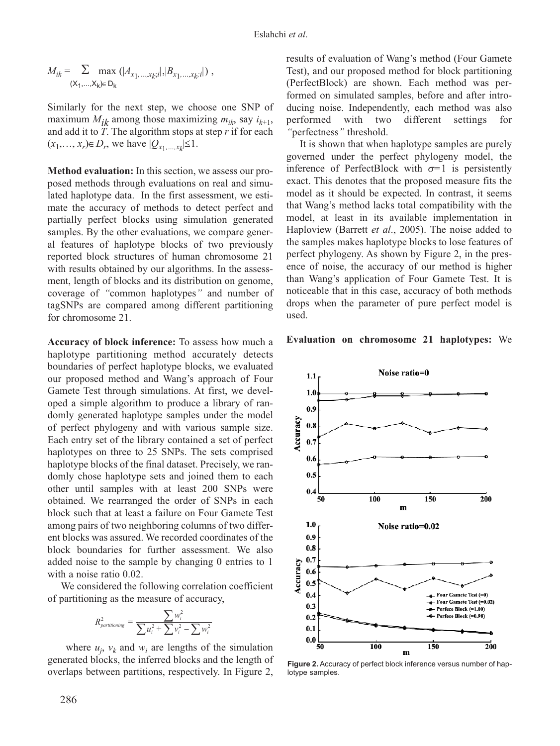$$
M_{ik} = \sum_{(\mathsf{X}_1, ..., \mathsf{X}_k) \in D_k} \max ( |A_{x_1, ..., x_k; i} |, |B_{x_1, ..., x_k; i} | ) ,
$$

Similarly for the next step, we choose one SNP of maximum  $M_{ik}$  among those maximizing  $m_{ik}$ , say  $i_{k+1}$ , and add it to *T*. The algorithm stops at step *r* if for each  $(x_1, ..., x_r) \in D_r$ , we have  $|Q_{x_1, ..., x_k}|$ ≤1.

**Method evaluation:** In this section, we assess our proposed methods through evaluations on real and simulated haplotype data. In the first assessment, we estimate the accuracy of methods to detect perfect and partially perfect blocks using simulation generated samples. By the other evaluations, we compare general features of haplotype blocks of two previously reported block structures of human chromosome 21 with results obtained by our algorithms. In the assessment, length of blocks and its distribution on genome, coverage of *"*common haplotypes*"* and number of tagSNPs are compared among different partitioning for chromosome 21.

**Accuracy of block inference:** To assess how much a haplotype partitioning method accurately detects boundaries of perfect haplotype blocks, we evaluated our proposed method and Wang's approach of Four Gamete Test through simulations. At first, we developed a simple algorithm to produce a library of randomly generated haplotype samples under the model of perfect phylogeny and with various sample size. Each entry set of the library contained a set of perfect haplotypes on three to 25 SNPs. The sets comprised haplotype blocks of the final dataset. Precisely, we randomly chose haplotype sets and joined them to each other until samples with at least 200 SNPs were obtained. We rearranged the order of SNPs in each block such that at least a failure on Four Gamete Test among pairs of two neighboring columns of two different blocks was assured. We recorded coordinates of the block boundaries for further assessment. We also added noise to the sample by changing 0 entries to 1 with a noise ratio 0.02.

We considered the following correlation coefficient of partitioning as the measure of accuracy,

$$
R_{\text{partitioning}}^2 = \frac{\sum w_i^2}{\sum u_i^2 + \sum v_i^2 - \sum w_i^2}
$$

where  $u_j$ ,  $v_k$  and  $w_i$  are lengths of the simulation generated blocks, the inferred blocks and the length of overlaps between partitions, respectively. In Figure 2,

results of evaluation of Wang's method (Four Gamete Test), and our proposed method for block partitioning (PerfectBlock) are shown. Each method was performed on simulated samples, before and after introducing noise. Independently, each method was also performed with two different settings for *"*perfectness*"* threshold.

It is shown that when haplotype samples are purely governed under the perfect phylogeny model, the inference of PerfectBlock with  $\sigma$ =1 is persistently exact. This denotes that the proposed measure fits the model as it should be expected. In contrast, it seems that Wang's method lacks total compatibility with the model, at least in its available implementation in Haploview (Barrett *et al*., 2005). The noise added to the samples makes haplotype blocks to lose features of perfect phylogeny. As shown by Figure 2, in the presence of noise, the accuracy of our method is higher than Wang's application of Four Gamete Test. It is noticeable that in this case, accuracy of both methods drops when the parameter of pure perfect model is used.

#### **Evaluation on chromosome 21 haplotypes:** We



**Figure 2.** Accuracy of perfect block inference versus number of haplotype samples.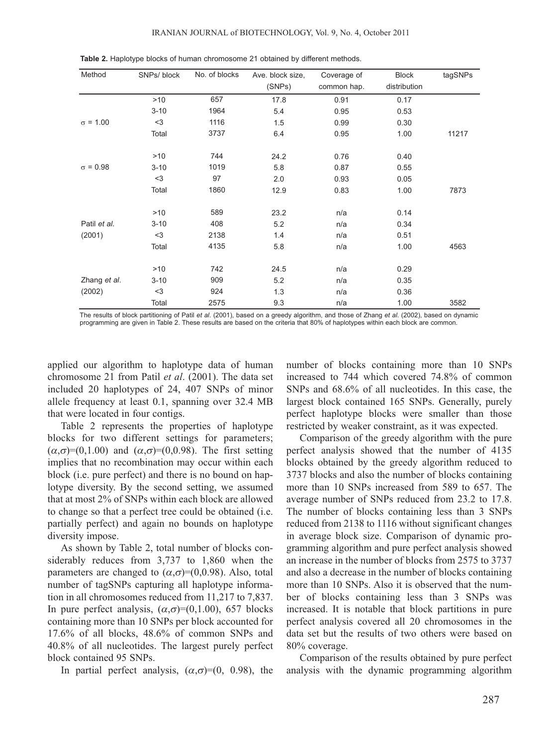| Method          | SNPs/ block | No. of blocks | Ave. block size,<br>(SNPs) | Coverage of<br>common hap. | <b>Block</b><br>distribution | tagSNPs |
|-----------------|-------------|---------------|----------------------------|----------------------------|------------------------------|---------|
|                 | $>10$       | 657           | 17.8                       | 0.91                       | 0.17                         |         |
|                 | $3 - 10$    | 1964          | 5.4                        | 0.95                       | 0.53                         |         |
| $\sigma$ = 1.00 | $<$ 3       | 1116          | 1.5                        | 0.99                       | 0.30                         |         |
|                 | Total       | 3737          | 6.4                        | 0.95                       | 1.00                         | 11217   |
|                 | >10         | 744           | 24.2                       | 0.76                       | 0.40                         |         |
| $\sigma = 0.98$ | $3 - 10$    | 1019          | 5.8                        | 0.87                       | 0.55                         |         |
|                 | $3$         | 97            | 2.0                        | 0.93                       | 0.05                         |         |
|                 | Total       | 1860          | 12.9                       | 0.83                       | 1.00                         | 7873    |
|                 | >10         | 589           | 23.2                       | n/a                        | 0.14                         |         |
| Patil et al.    | $3 - 10$    | 408           | 5.2                        | n/a                        | 0.34                         |         |
| (2001)          | $<$ 3       | 2138          | 1.4                        | n/a                        | 0.51                         |         |
|                 | Total       | 4135          | 5.8                        | n/a                        | 1.00                         | 4563    |
|                 | >10         | 742           | 24.5                       | n/a                        | 0.29                         |         |
| Zhang et al.    | $3 - 10$    | 909           | 5.2                        | n/a                        | 0.35                         |         |
| (2002)          | $<$ 3       | 924           | 1.3                        | n/a                        | 0.36                         |         |
|                 | Total       | 2575          | 9.3                        | n/a                        | 1.00                         | 3582    |

**Table 2.** Haplotype blocks of human chromosome 21 obtained by different methods.

The results of block partitioning of Patil *et al*. (2001), based on a greedy algorithm, and those of Zhang *et al*. (2002), based on dynamic programming are given in Table 2. These results are based on the criteria that 80% of haplotypes within each block are common.

applied our algorithm to haplotype data of human chromosome 21 from Patil *et al*. (2001). The data set included 20 haplotypes of 24, 407 SNPs of minor allele frequency at least 0.1, spanning over 32.4 MB that were located in four contigs.

Table 2 represents the properties of haplotype blocks for two different settings for parameters;  $(\alpha,\sigma)=(0,1.00)$  and  $(\alpha,\sigma)=(0,0.98)$ . The first setting implies that no recombination may occur within each block (i.e. pure perfect) and there is no bound on haplotype diversity. By the second setting, we assumed that at most 2% of SNPs within each block are allowed to change so that a perfect tree could be obtained (i.e. partially perfect) and again no bounds on haplotype diversity impose.

As shown by Table 2, total number of blocks considerably reduces from 3,737 to 1,860 when the parameters are changed to  $(\alpha, \sigma) = (0, 0.98)$ . Also, total number of tagSNPs capturing all haplotype information in all chromosomes reduced from 11,217 to 7,837. In pure perfect analysis,  $(\alpha, \sigma) = (0, 1.00)$ , 657 blocks containing more than 10 SNPs per block accounted for 17.6% of all blocks, 48.6% of common SNPs and 40.8% of all nucleotides. The largest purely perfect block contained 95 SNPs.

In partial perfect analysis,  $(\alpha, \sigma) = (0, 0.98)$ , the

number of blocks containing more than 10 SNPs increased to 744 which covered 74.8% of common SNPs and 68.6% of all nucleotides. In this case, the largest block contained 165 SNPs. Generally, purely perfect haplotype blocks were smaller than those restricted by weaker constraint, as it was expected.

Comparison of the greedy algorithm with the pure perfect analysis showed that the number of 4135 blocks obtained by the greedy algorithm reduced to 3737 blocks and also the number of blocks containing more than 10 SNPs increased from 589 to 657. The average number of SNPs reduced from 23.2 to 17.8. The number of blocks containing less than 3 SNPs reduced from 2138 to 1116 without significant changes in average block size. Comparison of dynamic programming algorithm and pure perfect analysis showed an increase in the number of blocks from 2575 to 3737 and also a decrease in the number of blocks containing more than 10 SNPs. Also it is observed that the number of blocks containing less than 3 SNPs was increased. It is notable that block partitions in pure perfect analysis covered all 20 chromosomes in the data set but the results of two others were based on 80% coverage.

Comparison of the results obtained by pure perfect analysis with the dynamic programming algorithm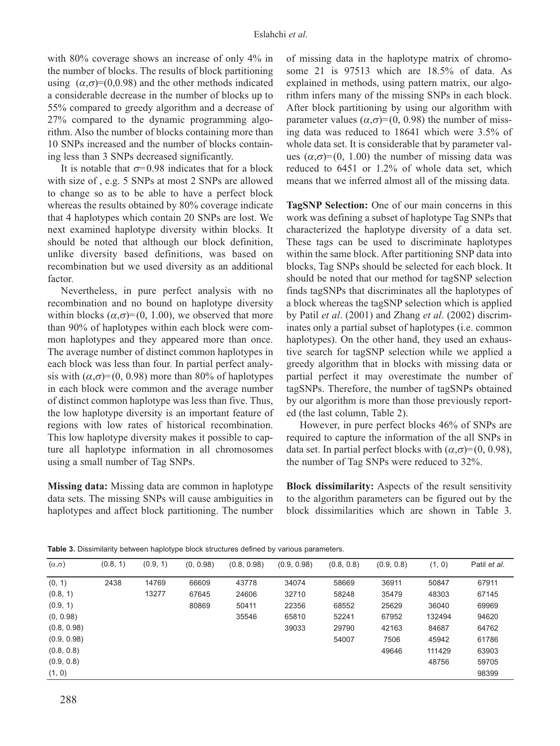with 80% coverage shows an increase of only 4% in the number of blocks. The results of block partitioning using  $(\alpha, \sigma) = (0, 0.98)$  and the other methods indicated a considerable decrease in the number of blocks up to 55% compared to greedy algorithm and a decrease of 27% compared to the dynamic programming algorithm. Also the number of blocks containing more than 10 SNPs increased and the number of blocks containing less than 3 SNPs decreased significantly.

It is notable that  $\sigma$ =0.98 indicates that for a block with size of , e.g. 5 SNPs at most 2 SNPs are allowed to change so as to be able to have a perfect block whereas the results obtained by 80% coverage indicate that 4 haplotypes which contain 20 SNPs are lost. We next examined haplotype diversity within blocks. It should be noted that although our block definition, unlike diversity based definitions, was based on recombination but we used diversity as an additional factor.

Nevertheless, in pure perfect analysis with no recombination and no bound on haplotype diversity within blocks  $(\alpha, \sigma) = (0, 1.00)$ , we observed that more than 90% of haplotypes within each block were common haplotypes and they appeared more than once. The average number of distinct common haplotypes in each block was less than four. In partial perfect analysis with  $(\alpha, \sigma) = (0, 0.98)$  more than 80% of haplotypes in each block were common and the average number of distinct common haplotype was less than five. Thus, the low haplotype diversity is an important feature of regions with low rates of historical recombination. This low haplotype diversity makes it possible to capture all haplotype information in all chromosomes using a small number of Tag SNPs.

**Missing data:** Missing data are common in haplotype data sets. The missing SNPs will cause ambiguities in haplotypes and affect block partitioning. The number of missing data in the haplotype matrix of chromosome 21 is 97513 which are 18.5% of data. As explained in methods, using pattern matrix, our algorithm infers many of the missing SNPs in each block. After block partitioning by using our algorithm with parameter values  $(\alpha, \sigma) = (0, 0.98)$  the number of missing data was reduced to 18641 which were 3.5% of whole data set. It is considerable that by parameter values  $(\alpha, \sigma) = (0, 1.00)$  the number of missing data was reduced to 6451 or 1.2% of whole data set, which means that we inferred almost all of the missing data.

**TagSNP Selection:** One of our main concerns in this work was defining a subset of haplotype Tag SNPs that characterized the haplotype diversity of a data set. These tags can be used to discriminate haplotypes within the same block. After partitioning SNP data into blocks, Tag SNPs should be selected for each block. It should be noted that our method for tagSNP selection finds tagSNPs that discriminates all the haplotypes of a block whereas the tagSNP selection which is applied by Patil *et al*. (2001) and Zhang *et al*. (2002) discriminates only a partial subset of haplotypes (i.e. common haplotypes). On the other hand, they used an exhaustive search for tagSNP selection while we applied a greedy algorithm that in blocks with missing data or partial perfect it may overestimate the number of tagSNPs. Therefore, the number of tagSNPs obtained by our algorithm is more than those previously reported (the last column, Table 2).

However, in pure perfect blocks 46% of SNPs are required to capture the information of the all SNPs in data set. In partial perfect blocks with  $(\alpha, \sigma) = (0, 0.98)$ , the number of Tag SNPs were reduced to 32%.

**Block dissimilarity:** Aspects of the result sensitivity to the algorithm parameters can be figured out by the block dissimilarities which are shown in Table 3.

| $(\alpha, \sigma)$ | (0.8, 1) | (0.9, 1) | (0, 0.98) | (0.8, 0.98) | (0.9, 0.98) | (0.8, 0.8) | (0.9, 0.8) | (1, 0) | Patil et al. |
|--------------------|----------|----------|-----------|-------------|-------------|------------|------------|--------|--------------|
| (0, 1)             | 2438     | 14769    | 66609     | 43778       | 34074       | 58669      | 36911      | 50847  | 67911        |
| (0.8, 1)           |          | 13277    | 67645     | 24606       | 32710       | 58248      | 35479      | 48303  | 67145        |
| (0.9, 1)           |          |          | 80869     | 50411       | 22356       | 68552      | 25629      | 36040  | 69969        |
| (0, 0.98)          |          |          |           | 35546       | 65810       | 52241      | 67952      | 132494 | 94620        |
| (0.8, 0.98)        |          |          |           |             | 39033       | 29790      | 42163      | 84687  | 64762        |
| (0.9, 0.98)        |          |          |           |             |             | 54007      | 7506       | 45942  | 61786        |
| (0.8, 0.8)         |          |          |           |             |             |            | 49646      | 111429 | 63903        |
| (0.9, 0.8)         |          |          |           |             |             |            |            | 48756  | 59705        |
| (1, 0)             |          |          |           |             |             |            |            |        | 98399        |

**Table 3.** Dissimilarity between haplotype block structures defined by various parameters.